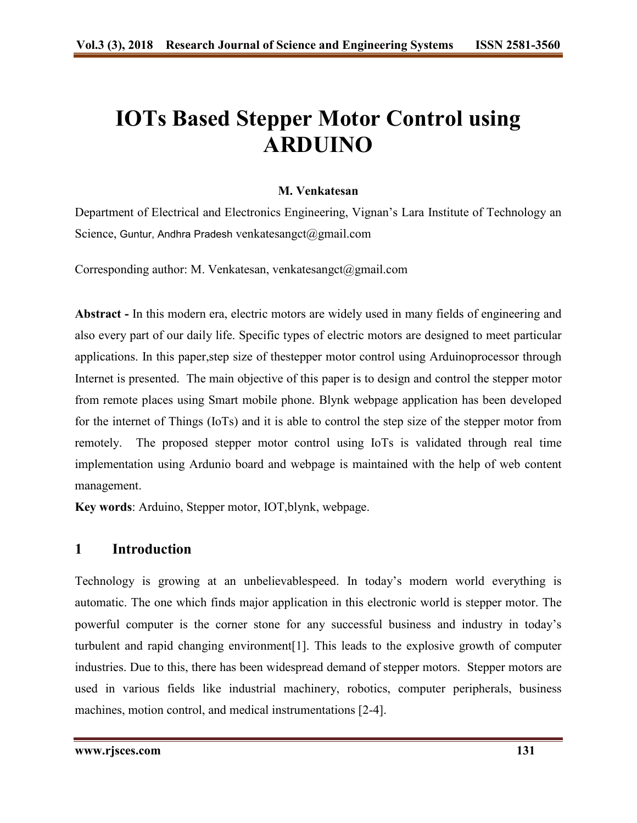# **IOTs Based Stepper Motor Control using ARDUINO**

#### **M. Venkatesan**

Department of Electrical and Electronics Engineering, Vignan's Lara Institute of Technology an Science, Guntur, Andhra Pradesh venkatesangct@gmail.com

Corresponding author: M. Venkatesan, venkatesangct@gmail.com

**Abstract -** In this modern era, electric motors are widely used in many fields of engineering and also every part of our daily life. Specific types of electric motors are designed to meet particular applications. In this paper,step size of thestepper motor control using Arduinoprocessor through Internet is presented. The main objective of this paper is to design and control the stepper motor from remote places using Smart mobile phone. Blynk webpage application has been developed for the internet of Things (IoTs) and it is able to control the step size of the stepper motor from remotely. The proposed stepper motor control using IoTs is validated through real time implementation using Ardunio board and webpage is maintained with the help of web content management.

**Key words**: Arduino, Stepper motor, IOT,blynk, webpage.

## **1 Introduction**

Technology is growing at an unbelievablespeed. In today's modern world everything is automatic. The one which finds major application in this electronic world is stepper motor. The powerful computer is the corner stone for any successful business and industry in today's turbulent and rapid changing environment[1]. This leads to the explosive growth of computer industries. Due to this, there has been widespread demand of stepper motors. Stepper motors are used in various fields like industrial machinery, robotics, computer peripherals, business machines, motion control, and medical instrumentations [2-4].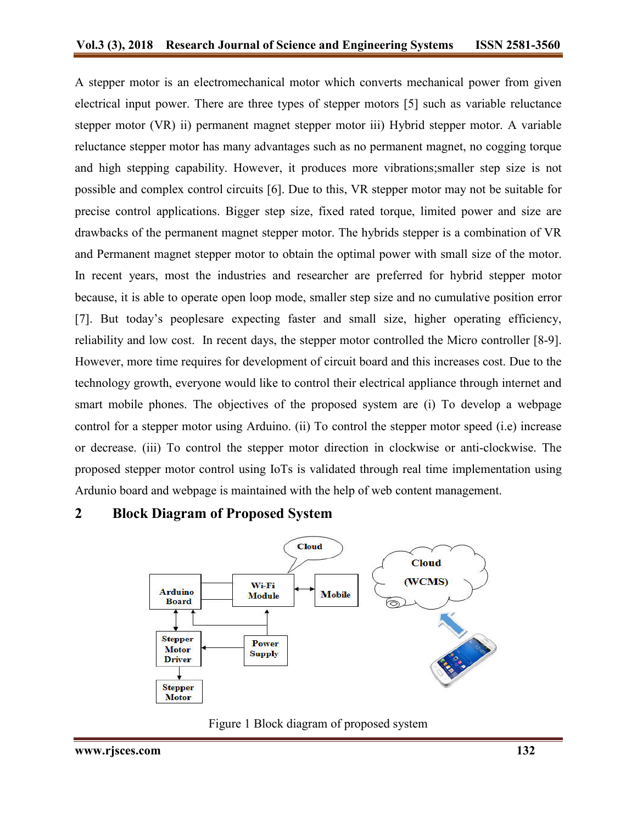A stepper motor is an electromechanical motor which converts mechanical power from given electrical input power. There are three types of stepper motors [5] such as variable reluctance stepper motor (VR) ii) permanent magnet stepper motor iii) Hybrid stepper motor. A variable reluctance stepper motor has many advantages such as no permanent magnet, no cogging torque and high stepping capability. However, it produces more vibrations;smaller step size is not possible and complex control circuits [6]. Due to this, VR stepper motor may not be suitable for precise control applications. Bigger step size, fixed rated torque, limited power and size are drawbacks of the permanent magnet stepper motor. The hybrids stepper is a combination of VR and Permanent magnet stepper motor to obtain the optimal power with small size of the motor. In recent years, most the industries and researcher are preferred for hybrid stepper motor because, it is able to operate open loop mode, smaller step size and no cumulative position error [7]. But today's peoplesare expecting faster and small size, higher operating efficiency, reliability and low cost. In recent days, the stepper motor controlled the Micro controller [8-9]. However, more time requires for development of circuit board and this increases cost. Due to the technology growth, everyone would like to control their electrical appliance through internet and smart mobile phones. The objectives of the proposed system are (i) To develop a webpage control for a stepper motor using Arduino. (ii) To control the stepper motor speed (i.e) increase or decrease. (iii) To control the stepper motor direction in clockwise or anti-clockwise. The proposed stepper motor control using IoTs is validated through real time implementation using Ardunio board and webpage is maintained with the help of web content management.

## **2 Block Diagram of Proposed System**



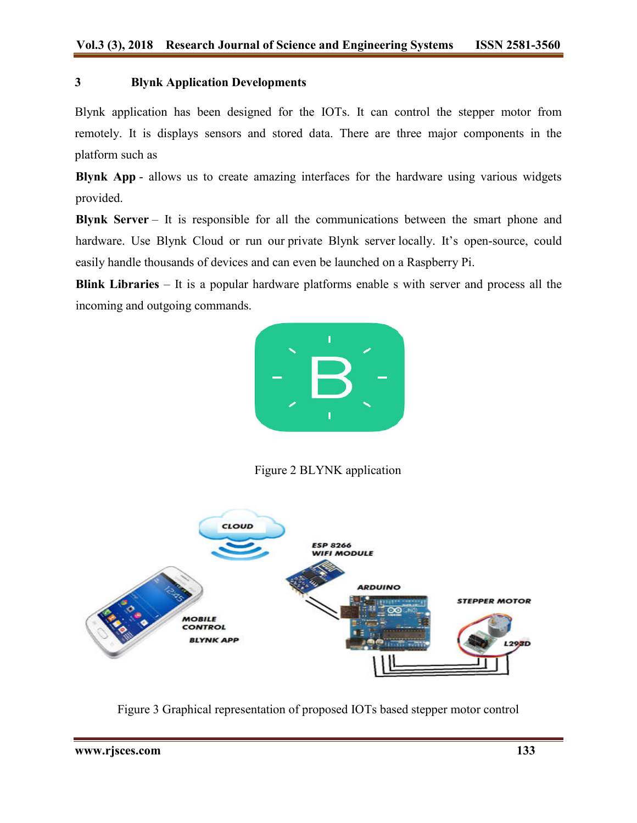#### **3 Blynk Application Developments**

Blynk application has been designed for the IOTs. It can control the stepper motor from remotely. It is displays sensors and stored data. There are three major components in the platform such as for the IOTs. It can control the stepper motor from<br>tored data. There are three major components in the<br>zing interfaces for the hardware using various widgets

**Blynk App** - allows us to create amazing interfaces for the hardware using various provided.

**Blynk Server** – It is responsible for all the communications between the smart phone and hardware. Use Blynk Cloud or run our private Blynk server locally. It's open-source, could easily handle thousands of devices and can even be launched on a Raspberry Pi.

**Blink Libraries** – It is a popular hardware platforms enable s with server and process all the incoming and outgoing commands.



Figure 2 BLYNK application



Figure 3 Graphical representation of proposed IOTs based stepper motor control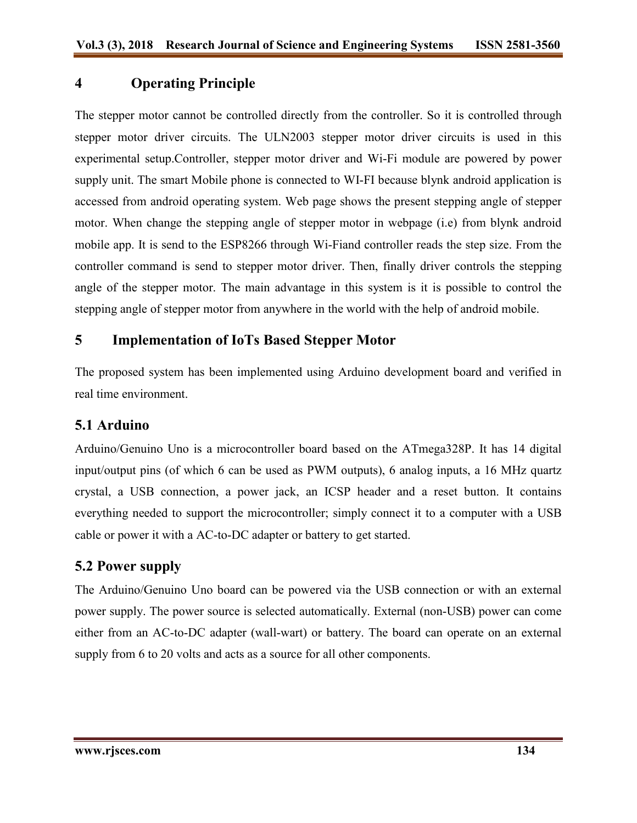# **4 Operating Principle**

The stepper motor cannot be controlled directly from the controller. So it is controlled through stepper motor driver circuits. The ULN2003 stepper motor driver circuits is used in this experimental setup.Controller, stepper motor driver and Wi-Fi module are powered by power supply unit. The smart Mobile phone is connected to WI-FI because blynk android application is accessed from android operating system. Web page shows the present stepping angle of stepper motor. When change the stepping angle of stepper motor in webpage (i.e) from blynk android mobile app. It is send to the ESP8266 through Wi-Fiand controller reads the step size. From the controller command is send to stepper motor driver. Then, finally driver controls the stepping angle of the stepper motor. The main advantage in this system is it is possible to control the stepping angle of stepper motor from anywhere in the world with the help of android mobile.

## **5 Implementation of IoTs Based Stepper Motor**

The proposed system has been implemented using Arduino development board and verified in real time environment.

## **5.1 Arduino**

Arduino/Genuino Uno is a microcontroller board based on the ATmega328P. It has 14 digital input/output pins (of which 6 can be used as PWM outputs), 6 analog inputs, a 16 MHz quartz crystal, a USB connection, a power jack, an ICSP header and a reset button. It contains everything needed to support the microcontroller; simply connect it to a computer with a USB cable or power it with a AC-to-DC adapter or battery to get started.

# **5.2 Power supply**

The Arduino/Genuino Uno board can be powered via the USB connection or with an external power supply. The power source is selected automatically. External (non-USB) power can come either from an AC-to-DC adapter (wall-wart) or battery. The board can operate on an external supply from 6 to 20 volts and acts as a source for all other components.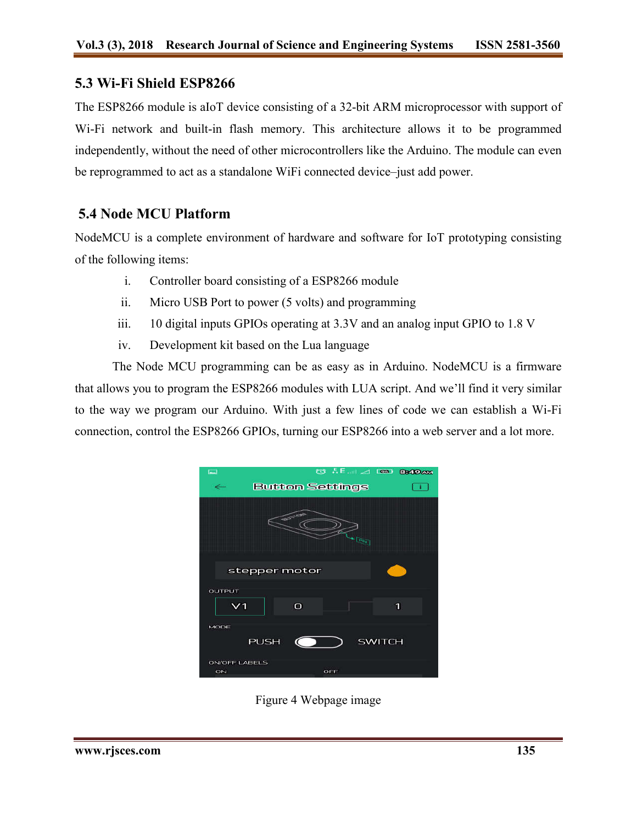#### **5.3 Wi-Fi Shield ESP8266**

The ESP8266 module is aIoT device consisting of a 32-bit ARM microprocessor with support of Wi-Fi network and built-in flash memory. This architecture allows it to be programmed independently, without the need of other microcontrollers like the Arduino. The module can even be reprogrammed to act as a standalone WiFi connected device–just add power.

## **5.4 Node MCU Platform**

NodeMCU is a complete environment of hardware and software for IoT prototyping consisting of the following items:

- i. Controller board consisting of a ESP8266 module
- ii. Micro USB Port to power (5 volts) and programming
- iii. 10 digital inputs GPIOs operating at 3.3V and an analog input GPIO to 1.8 V
- iv. Development kit based on the Lua language

The Node MCU programming can be as easy as in Arduino. NodeMCU is a firmware that allows you to program the ESP8266 modules with LUA script. And we'll find it very similar to the way we program our Arduino. With just a few lines of code we can establish a Wi-Fi connection, control the ESP8266 GPIOs, turning our ESP8266 into a web server and a lot more.

| $\Box$                               |                        |                    | © .F. 1 2 199 8349AM |  |
|--------------------------------------|------------------------|--------------------|----------------------|--|
|                                      | <b>Button Settings</b> |                    |                      |  |
|                                      | <b>RESISTER</b>        | $\blacksquare$ Pug |                      |  |
|                                      | stepper motor          |                    |                      |  |
| <b>OUTPUT</b><br>V1                  | $\Omega$               |                    | 1                    |  |
| MODE<br><b>PUSH</b><br><b>SWITCH</b> |                        |                    |                      |  |
| <b>ON/OFF LABELS</b><br>ON           |                        | OFF                |                      |  |

Figure 4 Webpage image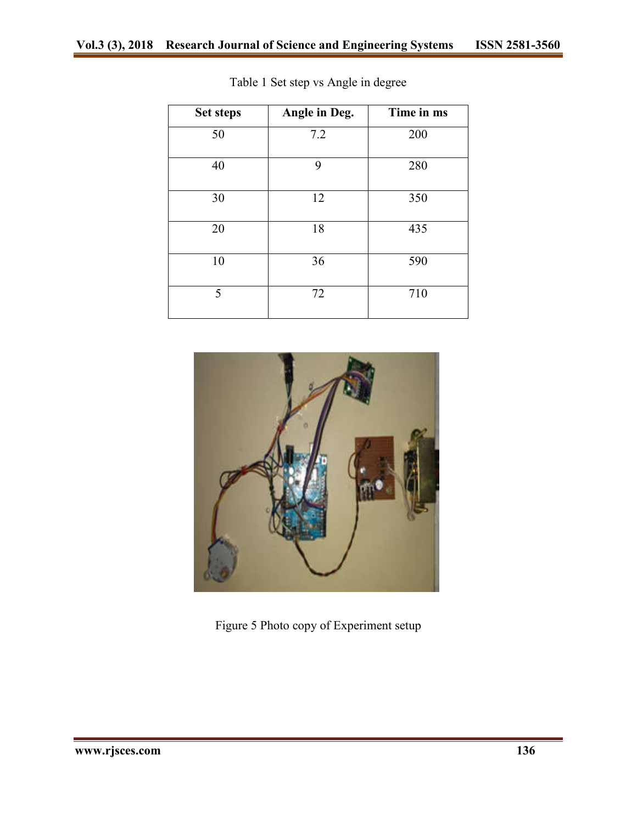| <b>Set steps</b> | Angle in Deg. | Time in ms |
|------------------|---------------|------------|
| 50               | 7.2           | 200        |
| 40               | 9             | 280        |
| 30               | 12            | 350        |
| 20               | 18            | 435        |
| 10               | 36            | 590        |
| 5                | 72            | 710        |

Table 1 Set step vs Angle in degree



Figure 5 Photo copy of Experiment setup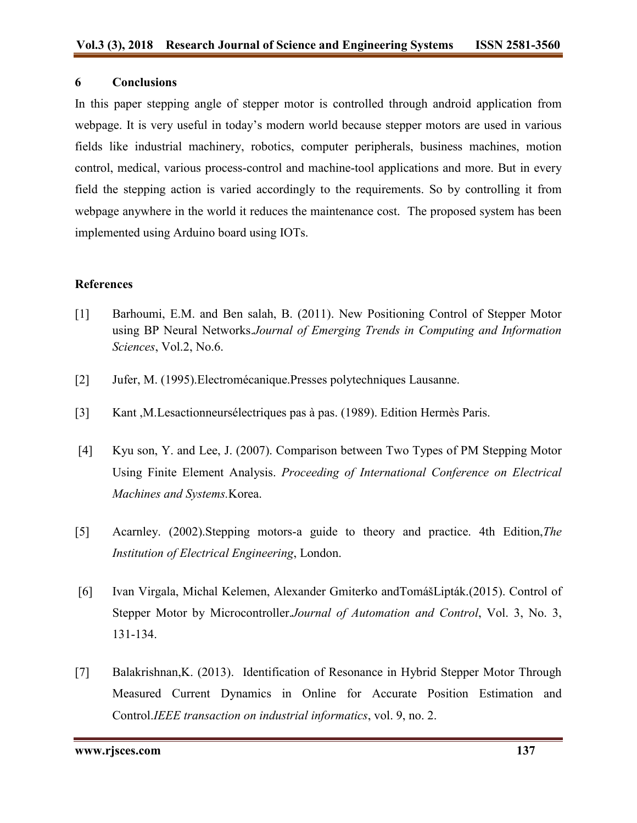#### **6 Conclusions**

In this paper stepping angle of stepper motor is controlled through android application from webpage. It is very useful in today's modern world because stepper motors are used in various fields like industrial machinery, robotics, computer peripherals, business machines, motion control, medical, various process-control and machine-tool applications and more. But in every field the stepping action is varied accordingly to the requirements. So by controlling it from webpage anywhere in the world it reduces the maintenance cost. The proposed system has been implemented using Arduino board using IOTs.

#### **References**

- [1] Barhoumi, E.M. and Ben salah, B. (2011). New Positioning Control of Stepper Motor using BP Neural Networks.*Journal of Emerging Trends in Computing and Information Sciences*, Vol.2, No.6.
- [2] Jufer, M. (1995).Electromécanique.Presses polytechniques Lausanne.
- [3] Kant ,M.Lesactionneursélectriques pas à pas. (1989). Edition Hermès Paris.
- [4] Kyu son, Y. and Lee, J. (2007). Comparison between Two Types of PM Stepping Motor Using Finite Element Analysis. *Proceeding of International Conference on Electrical Machines and Systems.*Korea.
- [5] Acarnley. (2002).Stepping motors-a guide to theory and practice. 4th Edition,*The Institution of Electrical Engineering*, London.
- [6] Ivan Virgala, Michal Kelemen, Alexander Gmiterko andTomášLipták.(2015). Control of Stepper Motor by Microcontroller.*Journal of Automation and Control*, Vol. 3, No. 3, 131-134.
- [7] Balakrishnan,K. (2013). Identification of Resonance in Hybrid Stepper Motor Through Measured Current Dynamics in Online for Accurate Position Estimation and Control.*IEEE transaction on industrial informatics*, vol. 9, no. 2.